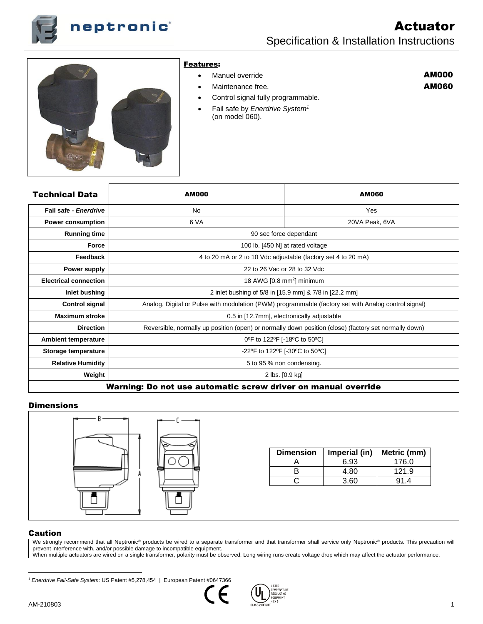



### Features:

- Manuel override
- Maintenance free.

# AM000 AM060

- Control signal fully programmable.
- Fail safe by *Enerdrive System<sup>1</sup>* (on model 060).

| Technical Data                                                | <b>AM000</b>    | <b>AM060</b>                                                                                          |  |
|---------------------------------------------------------------|-----------------|-------------------------------------------------------------------------------------------------------|--|
| Fail safe - Enerdrive                                         | <b>No</b>       | Yes                                                                                                   |  |
| <b>Power consumption</b>                                      | 6 VA            | 20VA Peak, 6VA                                                                                        |  |
| <b>Running time</b>                                           |                 | 90 sec force dependant                                                                                |  |
| <b>Force</b>                                                  |                 | 100 lb. [450 N] at rated voltage                                                                      |  |
| Feedback                                                      |                 | 4 to 20 mA or 2 to 10 Vdc adjustable (factory set 4 to 20 mA)                                         |  |
| Power supply                                                  |                 | 22 to 26 Vac or 28 to 32 Vdc                                                                          |  |
| <b>Electrical connection</b>                                  |                 | 18 AWG $[0.8 \text{ mm}^2]$ minimum                                                                   |  |
| Inlet bushing                                                 |                 | 2 inlet bushing of 5/8 in [15.9 mm] & 7/8 in [22.2 mm]                                                |  |
| <b>Control signal</b>                                         |                 | Analog, Digital or Pulse with modulation (PWM) programmable (factory set with Analog control signal)  |  |
| <b>Maximum stroke</b>                                         |                 | 0.5 in [12.7mm], electronically adjustable                                                            |  |
| <b>Direction</b>                                              |                 | Reversible, normally up position (open) or normally down position (close) (factory set normally down) |  |
| <b>Ambient temperature</b>                                    |                 | 0°F to 122°F [-18°C to 50°C]                                                                          |  |
| Storage temperature                                           |                 | -22°F to 122°F [-30°C to 50°C]                                                                        |  |
| <b>Relative Humidity</b>                                      |                 | 5 to 95 % non condensing.                                                                             |  |
| Weight                                                        | 2 lbs. [0.9 kg] |                                                                                                       |  |
| Warning: Do not use automatic screw driver on manual override |                 |                                                                                                       |  |

### **Dimensions**



| <b>Dimension</b> | Imperial (in) | Metric (mm) |
|------------------|---------------|-------------|
|                  | 6.93          | 176.0       |
|                  | 4.80          | 121.9       |
|                  | 3.60          | 91.4        |

### Caution

We strongly recommend that all Neptronic® products be wired to a separate transformer and that transformer shall service only Neptronic® products. This precaution will prevent interference with, and/or possible damage to incompatible equipment. When multiple actuators are wired on a single transformer, polarity must be observed. Long wiring runs create voltage drop which may affect the actuator performance.

<sup>&</sup>lt;sup>1</sup> Enerdrive Fail-Safe System: US Patent #5,278,454 | European Patent #0647366



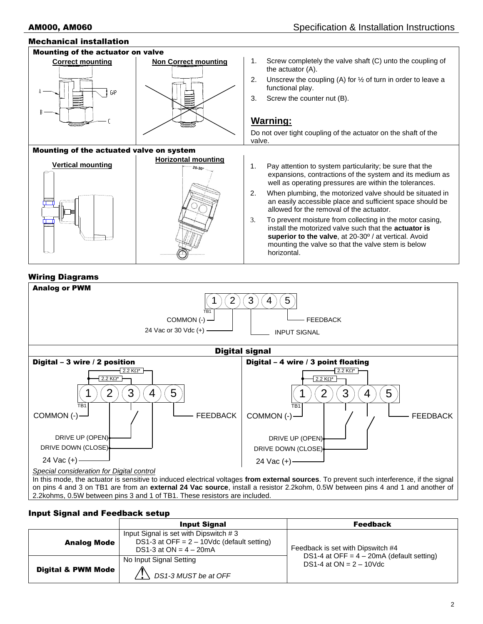# Mechanical installation Mounting of the actuator on valve **Correct mounting <b>Non Correct mounting** 1. Screw completely the valve shaft (C) unto the coupling of the actuator (A). 2. Unscrew the coupling (A) for ½ of turn in order to leave a functional play. 3. Screw the counter nut (B). **Warning:** Do not over tight coupling of the actuator on the shaft of the valve. Mounting of the actuated valve on system **Vertical mounting Horizontal mounting 20-30°** 1. Pay attention to system particularity; be sure that the expansions, contractions of the system and its medium as well as operating pressures are within the tolerances. 2. When plumbing, the motorized valve should be situated in an easily accessible place and sufficient space should be allowed for the removal of the actuator. 3. To prevent moisture from collecting in the motor casing, install the motorized valve such that the **actuator is superior to the valve**, at 20-30º / at vertical. Avoid mounting the valve so that the valve stem is below horizontal. Wiring Diagrams



on pins 4 and 3 on TB1 are from an **external 24 Vac source**, install a resistor 2.2kohm, 0.5W between pins 4 and 1 and another of 2.2kohms, 0.5W between pins 3 and 1 of TB1. These resistors are included.

# Input Signal and Feedback setup

|                                                                                  | <b>Input Signal</b>                                                                                                | <b>Feedback</b>                                                            |
|----------------------------------------------------------------------------------|--------------------------------------------------------------------------------------------------------------------|----------------------------------------------------------------------------|
| <b>Analog Mode</b>                                                               | Input Signal is set with Dipswitch #3<br>DS1-3 at OFF = $2 - 10$ Vdc (default setting)<br>DS1-3 at $ON = 4 - 20mA$ | Feedback is set with Dipswitch #4                                          |
| No Input Signal Setting<br><b>Digital &amp; PWM Mode</b><br>DS1-3 MUST be at OFF |                                                                                                                    | DS1-4 at OFF = $4 - 20$ mA (default setting)<br>DS1-4 at $ON = 2 - 10$ Vdc |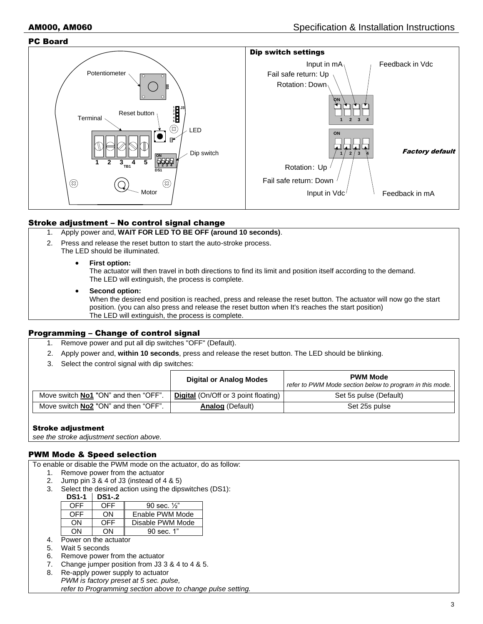#### PC Board



## Stroke adjustment – No control signal change

- 1. Apply power and, **WAIT FOR LED TO BE OFF (around 10 seconds)**.
- 2. Press and release the reset button to start the auto-stroke process.
	- The LED should be illuminated.
		- **First option:**

The actuator will then travel in both directions to find its limit and position itself according to the demand. The LED will extinguish, the process is complete.

• **Second option:**

When the desired end position is reached, press and release the reset button. The actuator will now go the start position. (you can also press and release the reset button when It's reaches the start position) The LED will extinguish, the process is complete.

## Programming – Change of control signal

- 1. Remove power and put all dip switches "OFF" (Default).
- 2. Apply power and, **within 10 seconds**, press and release the reset button. The LED should be blinking.
- 3. Select the control signal with dip switches:

|                                             | <b>Digital or Analog Modes</b>              | <b>PWM Mode</b><br>refer to PWM Mode section below to program in this mode. |  |
|---------------------------------------------|---------------------------------------------|-----------------------------------------------------------------------------|--|
| Move switch <b>No1</b> "ON" and then "OFF". | <b>Digital</b> (On/Off or 3 point floating) | Set 5s pulse (Default)                                                      |  |
| Move switch <b>No2</b> "ON" and then "OFF". | <b>Analog (Default)</b>                     | Set 25s pulse                                                               |  |

## Stroke adjustment

*see the stroke adjustment section above.*

## PWM Mode & Speed selection

To enable or disable the PWM mode on the actuator, do as follow:

- 1. Remove power from the actuator
- 2. Jump pin 3 & 4 of J3 (instead of 4 & 5)
- 3. Select the desired action using the dipswitches (DS1):

**DS1-1 DS1-.2**

| OFF | OFF | 90 sec. $\frac{1}{2}$ |
|-----|-----|-----------------------|
| OFF | ωN  | Enable PWM Mode       |
| ΩN  | OFF | Disable PWM Mode      |
| ωN  | ∩N  | 90 sec. 1"            |

- 4. Power on the actuator
- 5. Wait 5 seconds
- 6. Remove power from the actuator
- 7. Change jumper position from J3 3 & 4 to 4 & 5.
- 8. Re-apply power supply to actuator *PWM is factory preset at 5 sec. pulse, refer to Programming section above to change pulse setting.*